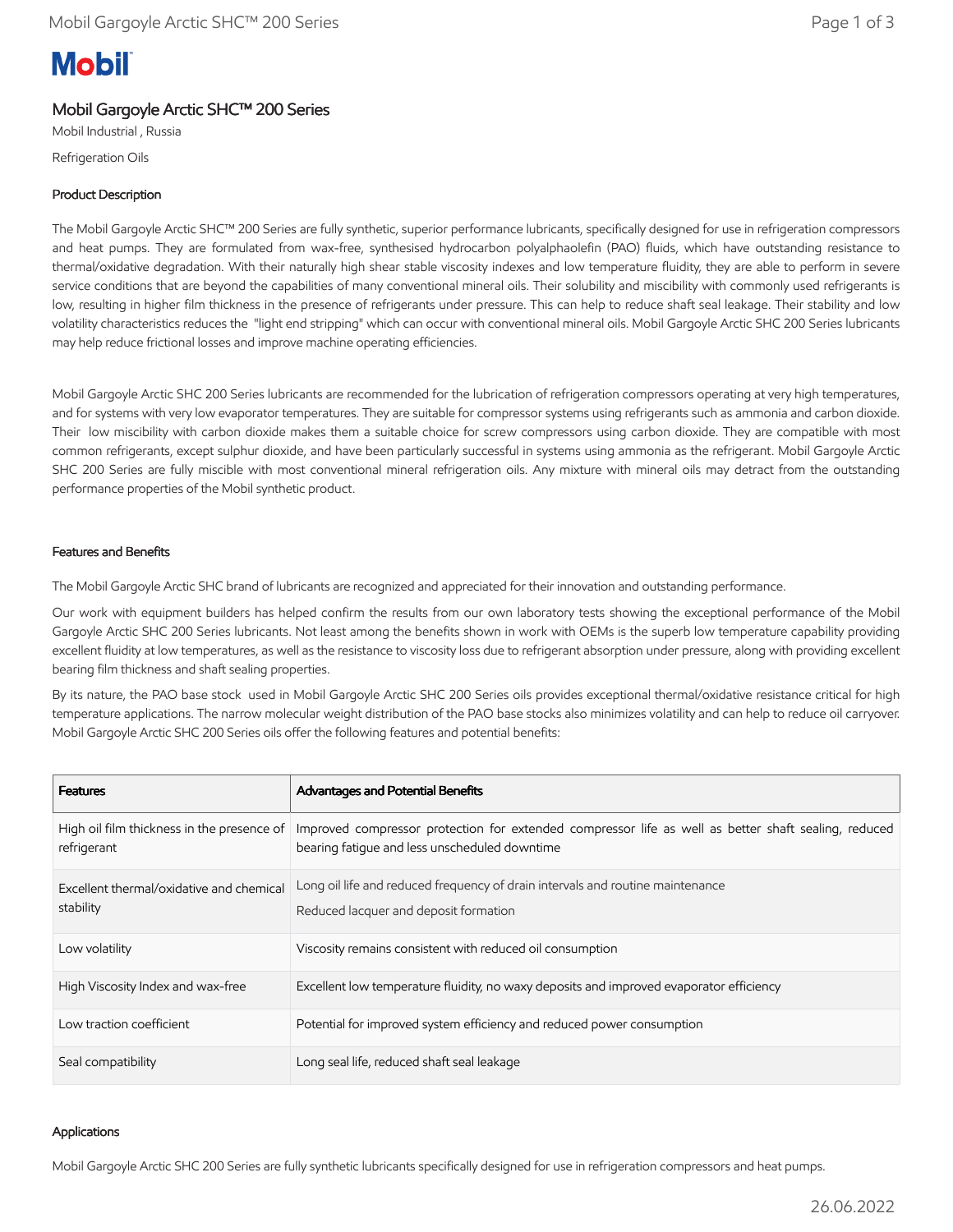# **Mobil**

# Mobil Gargoyle Arctic SHC™ 200 Series

Mobil Industrial , Russia Refrigeration Oils

## Product Description

The Mobil Gargoyle Arctic SHC™ 200 Series are fully synthetic, superior performance lubricants, specifically designed for use in refrigeration compressors and heat pumps. They are formulated from wax-free, synthesised hydrocarbon polyalphaolefin (PAO) fluids, which have outstanding resistance to thermal/oxidative degradation. With their naturally high shear stable viscosity indexes and low temperature fluidity, they are able to perform in severe service conditions that are beyond the capabilities of many conventional mineral oils. Their solubility and miscibility with commonly used refrigerants is low, resulting in higher film thickness in the presence of refrigerants under pressure. This can help to reduce shaft seal leakage. Their stability and low volatility characteristics reduces the "light end stripping" which can occur with conventional mineral oils. Mobil Gargoyle Arctic SHC 200 Series lubricants may help reduce frictional losses and improve machine operating efficiencies.

Mobil Gargoyle Arctic SHC 200 Series lubricants are recommended for the lubrication of refrigeration compressors operating at very high temperatures, and for systems with very low evaporator temperatures. They are suitable for compressor systems using refrigerants such as ammonia and carbon dioxide. Their low miscibility with carbon dioxide makes them a suitable choice for screw compressors using carbon dioxide. They are compatible with most common refrigerants, except sulphur dioxide, and have been particularly successful in systems using ammonia as the refrigerant. Mobil Gargoyle Arctic SHC 200 Series are fully miscible with most conventional mineral refrigeration oils. Any mixture with mineral oils may detract from the outstanding performance properties of the Mobil synthetic product.

## Features and Benefits

The Mobil Gargoyle Arctic SHC brand of lubricants are recognized and appreciated for their innovation and outstanding performance.

Our work with equipment builders has helped confirm the results from our own laboratory tests showing the exceptional performance of the Mobil Gargoyle Arctic SHC 200 Series lubricants. Not least among the benefits shown in work with OEMs is the superb low temperature capability providing excellent fluidity at low temperatures, as well as the resistance to viscosity loss due to refrigerant absorption under pressure, along with providing excellent bearing film thickness and shaft sealing properties.

By its nature, the PAO base stock used in Mobil Gargoyle Arctic SHC 200 Series oils provides exceptional thermal/oxidative resistance critical for high temperature applications. The narrow molecular weight distribution of the PAO base stocks also minimizes volatility and can help to reduce oil carryover. Mobil Gargoyle Arctic SHC 200 Series oils offer the following features and potential benefits:

| <b>Features</b>                                           | <b>Advantages and Potential Benefits</b>                                                                                                              |
|-----------------------------------------------------------|-------------------------------------------------------------------------------------------------------------------------------------------------------|
| High oil film thickness in the presence of<br>refrigerant | Improved compressor protection for extended compressor life as well as better shaft sealing, reduced<br>bearing fatigue and less unscheduled downtime |
| Excellent thermal/oxidative and chemical<br>stability     | Long oil life and reduced frequency of drain intervals and routine maintenance<br>Reduced lacquer and deposit formation                               |
| Low volatility                                            | Viscosity remains consistent with reduced oil consumption                                                                                             |
| High Viscosity Index and wax-free                         | Excellent low temperature fluidity, no waxy deposits and improved evaporator efficiency                                                               |
| Low traction coefficient                                  | Potential for improved system efficiency and reduced power consumption                                                                                |
| Seal compatibility                                        | Long seal life, reduced shaft seal leakage                                                                                                            |

#### Applications

Mobil Gargoyle Arctic SHC 200 Series are fully synthetic lubricants specifically designed for use in refrigeration compressors and heat pumps.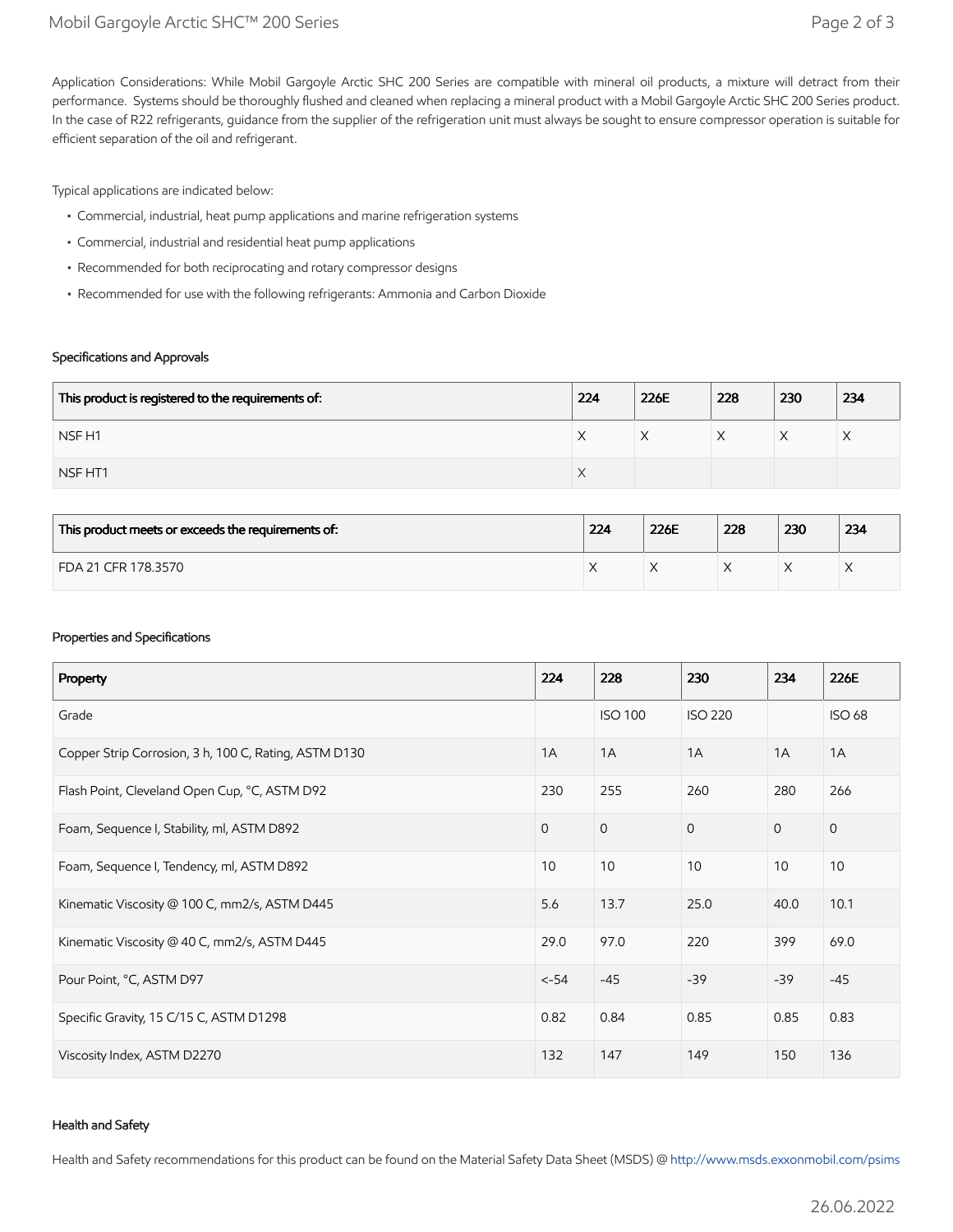Application Considerations: While Mobil Gargoyle Arctic SHC 200 Series are compatible with mineral oil products, a mixture will detract from their performance. Systems should be thoroughly flushed and cleaned when replacing a mineral product with a Mobil Gargoyle Arctic SHC 200 Series product. In the case of R22 refrigerants, guidance from the supplier of the refrigeration unit must always be sought to ensure compressor operation is suitable for efficient separation of the oil and refrigerant.

Typical applications are indicated below:

- Commercial, industrial, heat pump applications and marine refrigeration systems
- Commercial, industrial and residential heat pump applications
- Recommended for both reciprocating and rotary compressor designs
- Recommended for use with the following refrigerants: Ammonia and Carbon Dioxide

#### Specifications and Approvals

| This product is registered to the requirements of: | 224                | 226E | 228 | 230 | 234 |
|----------------------------------------------------|--------------------|------|-----|-----|-----|
| NSF <sub>H1</sub>                                  | ⌒                  | ∧    |     | ∧   | ⌒   |
| NSF HT1                                            | $\curvearrowright$ |      |     |     |     |

| This product meets or exceeds the requirements of: | 224 | 226E | 228 | 230 | 234 |
|----------------------------------------------------|-----|------|-----|-----|-----|
| FDA 21 CFR 178.3570                                |     |      |     |     | ⌒   |

#### Properties and Specifications

| Property                                              | 224          | 228            | 230            | 234          | 226E          |
|-------------------------------------------------------|--------------|----------------|----------------|--------------|---------------|
| Grade                                                 |              | <b>ISO 100</b> | <b>ISO 220</b> |              | <b>ISO 68</b> |
| Copper Strip Corrosion, 3 h, 100 C, Rating, ASTM D130 | 1A           | 1A             | 1A             | 1A           | 1A            |
| Flash Point, Cleveland Open Cup, °C, ASTM D92         | 230          | 255            | 260            | 280          | 266           |
| Foam, Sequence I, Stability, ml, ASTM D892            | $\mathbf{0}$ | $\mathbf{0}$   | $\overline{0}$ | $\mathbf{0}$ | $\mathbf{O}$  |
| Foam, Sequence I, Tendency, ml, ASTM D892             | 10           | 10             | 10             | 10           | 10            |
| Kinematic Viscosity @ 100 C, mm2/s, ASTM D445         | 5.6          | 13.7           | 25.0           | 40.0         | 10.1          |
| Kinematic Viscosity @ 40 C, mm2/s, ASTM D445          | 29.0         | 97.0           | 220            | 399          | 69.0          |
| Pour Point, °C, ASTM D97                              | $< -54$      | $-45$          | $-39$          | $-39$        | $-45$         |
| Specific Gravity, 15 C/15 C, ASTM D1298               | 0.82         | 0.84           | 0.85           | 0.85         | 0.83          |
| Viscosity Index, ASTM D2270                           | 132          | 147            | 149            | 150          | 136           |

#### Health and Safety

Health and Safety recommendations for this product can be found on the Material Safety Data Sheet (MSDS) @ [http://www.msds.exxonmobil.com/psims](http://www.msds.exxonmobil.com/psims/psims.aspx)